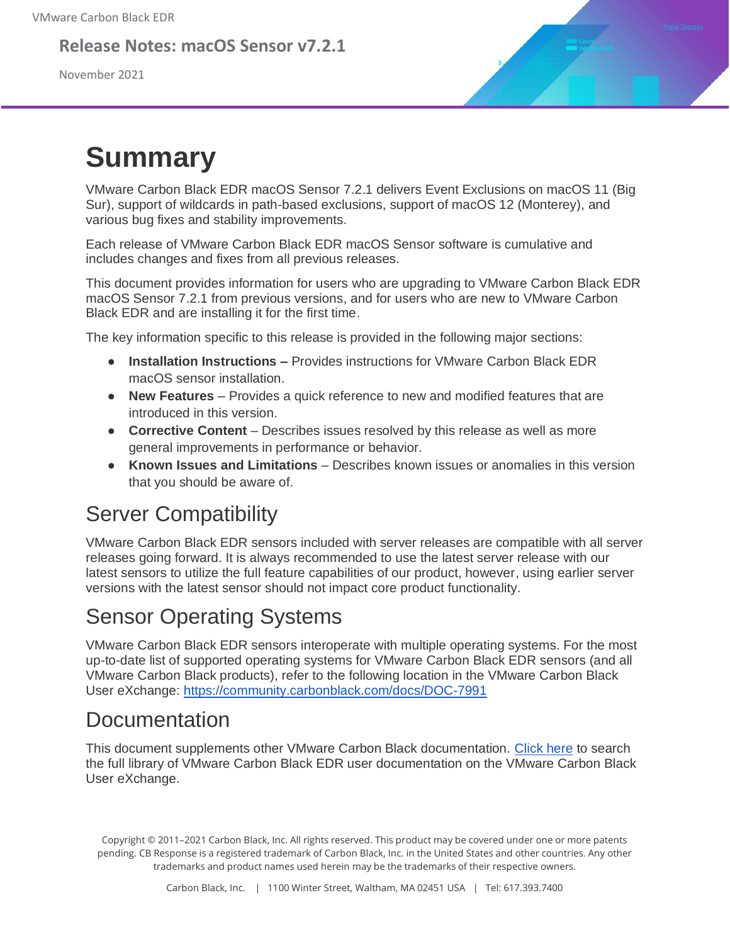#### **Release Notes: macOS Sensor v7.2.1**

November 2021



# **Summary**

VMware Carbon Black EDR macOS Sensor 7.2.1 delivers Event Exclusions on macOS 11 (Big Sur), support of wildcards in path-based exclusions, support of macOS 12 (Monterey), and various bug fixes and stability improvements.

Each release of VMware Carbon Black EDR macOS Sensor software is cumulative and includes changes and fixes from all previous releases.

This document provides information for users who are upgrading to VMware Carbon Black EDR macOS Sensor 7.2.1 from previous versions, and for users who are new to VMware Carbon Black EDR and are installing it for the first time.

The key information specific to this release is provided in the following major sections:

- **Installation Instructions –** Provides instructions for VMware Carbon Black EDR macOS sensor installation.
- **New Features** Provides a quick reference to new and modified features that are introduced in this version.
- **Corrective Content** Describes issues resolved by this release as well as more general improvements in performance or behavior.
- **Known Issues and Limitations** Describes known issues or anomalies in this version that you should be aware of.

#### Server Compatibility

VMware Carbon Black EDR sensors included with server releases are compatible with all server releases going forward. It is always recommended to use the latest server release with our latest sensors to utilize the full feature capabilities of our product, however, using earlier server versions with the latest sensor should not impact core product functionality.

#### Sensor Operating Systems

VMware Carbon Black EDR sensors interoperate with multiple operating systems. For the most up-to-date list of supported operating systems for VMware Carbon Black EDR sensors (and all VMware Carbon Black products), refer to the following location in the VMware Carbon Black User eXchange:<https://community.carbonblack.com/docs/DOC-7991>

#### Documentation

This document supplements other VMware Carbon Black documentation. [Click here](https://community.carbonblack.com/community/resources/product-docs-and-news/content?filterID=contentstatus%5Bpublished%5D~tag%5Bcb+response%5D) to search the full library of VMware Carbon Black EDR user documentation on the VMware Carbon Black User eXchange.

Copyright © 2011–2021 Carbon Black, Inc. All rights reserved. This product may be covered under one or more patents pending. CB Response is a registered trademark of Carbon Black, Inc. in the United States and other countries. Any other trademarks and product names used herein may be the trademarks of their respective owners.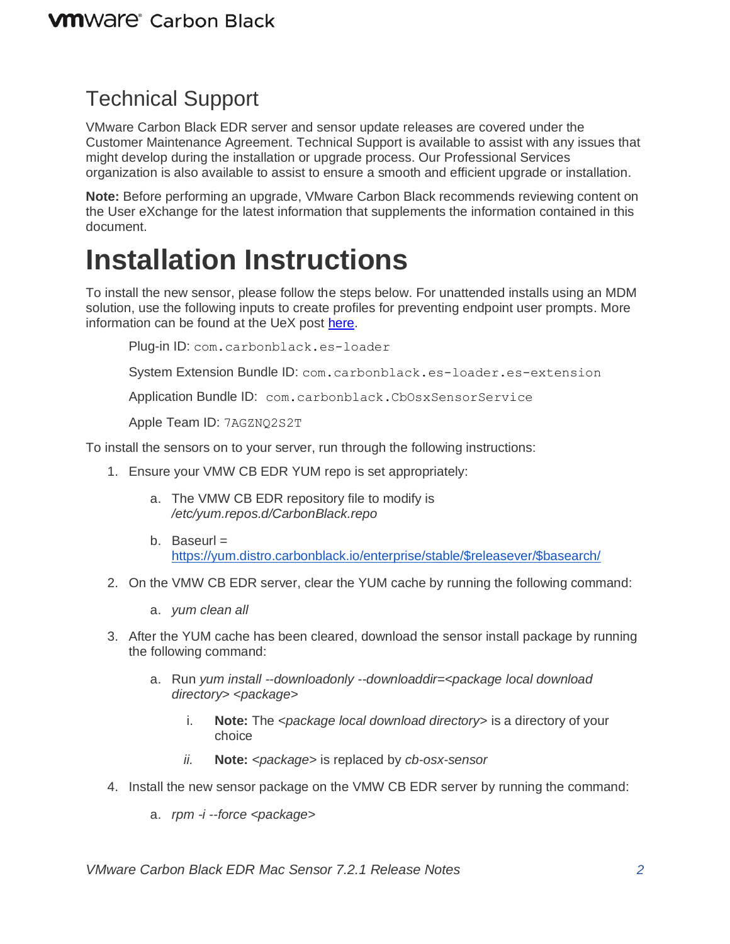#### Technical Support

VMware Carbon Black EDR server and sensor update releases are covered under the Customer Maintenance Agreement. Technical Support is available to assist with any issues that might develop during the installation or upgrade process. Our Professional Services organization is also available to assist to ensure a smooth and efficient upgrade or installation.

**Note:** Before performing an upgrade, VMware Carbon Black recommends reviewing content on the User eXchange for the latest information that supplements the information contained in this document.

### **Installation Instructions**

To install the new sensor, please follow the steps below. For unattended installs using an MDM solution, use the following inputs to create profiles for preventing endpoint user prompts. More information can be found at the UeX post [here.](https://community.carbonblack.com/t5/Endpoint-Detection-and-Response/Carbon-Black-EDR-Granting-macOS-Sensor-Access-on-macOS-11/ta-p/96914)

Plug-in ID: com.carbonblack.es-loader

System Extension Bundle ID: com.carbonblack.es-loader.es-extension

Application Bundle ID: com.carbonblack.CbOsxSensorService

Apple Team ID: 7AGZNQ2S2T

To install the sensors on to your server, run through the following instructions:

- 1. Ensure your VMW CB EDR YUM repo is set appropriately:
	- a. The VMW CB EDR repository file to modify is */etc/yum.repos.d/CarbonBlack.repo*
	- b. Baseurl  $=$ [https://yum.distro.carbonblack.io/enterprise/stable/\\$releasever/\\$basearch/](https://yum.distro.carbonblack.io/enterprise/stable/$releasever/$basearch/)
- 2. On the VMW CB EDR server, clear the YUM cache by running the following command:
	- a. *yum clean all*
- 3. After the YUM cache has been cleared, download the sensor install package by running the following command:
	- a. Run *yum install --downloadonly --downloaddir=<package local download directory> <package>*
		- i. **Note:** The *<package local download directory>* is a directory of your choice
		- *ii.* **Note:** *<package>* is replaced by *cb-osx-sensor*
- 4. Install the new sensor package on the VMW CB EDR server by running the command:
	- a. *rpm -i --force <package>*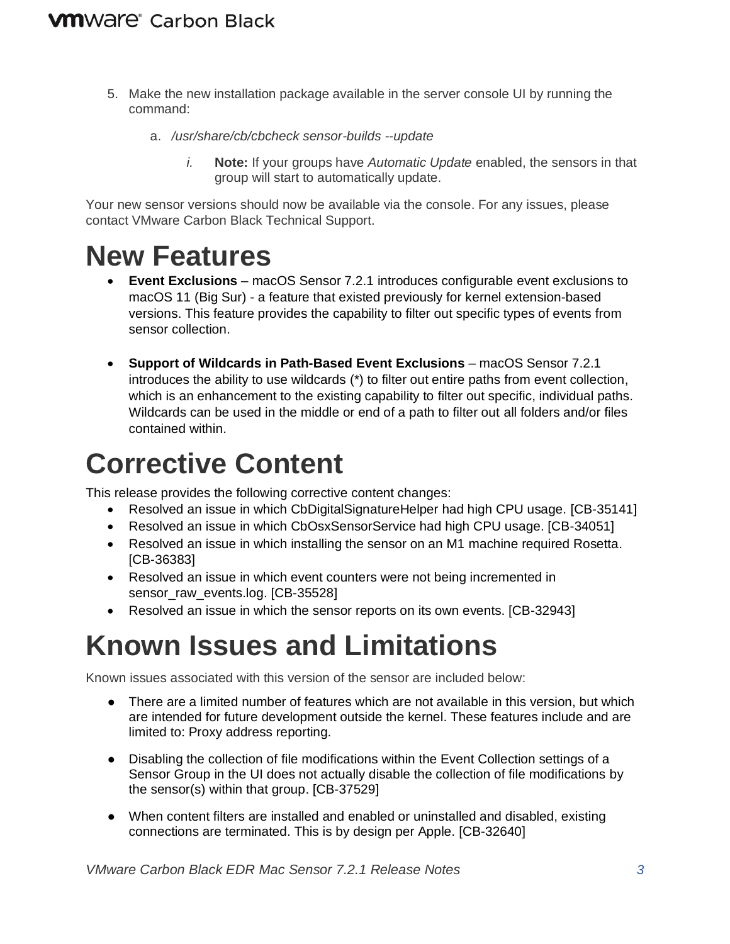- 5. Make the new installation package available in the server console UI by running the command:
	- a. */usr/share/cb/cbcheck sensor-builds --update*
		- *i.* **Note:** If your groups have *Automatic Update* enabled, the sensors in that group will start to automatically update.

Your new sensor versions should now be available via the console. For any issues, please contact VMware Carbon Black Technical Support.

#### **New Features**

- **Event Exclusions** macOS Sensor 7.2.1 introduces configurable event exclusions to macOS 11 (Big Sur) - a feature that existed previously for kernel extension-based versions. This feature provides the capability to filter out specific types of events from sensor collection.
- **Support of Wildcards in Path-Based Event Exclusions** macOS Sensor 7.2.1 introduces the ability to use wildcards (\*) to filter out entire paths from event collection, which is an enhancement to the existing capability to filter out specific, individual paths. Wildcards can be used in the middle or end of a path to filter out all folders and/or files contained within.

# **Corrective Content**

This release provides the following corrective content changes:

- Resolved an issue in which CbDigitalSignatureHelper had high CPU usage. [CB-35141]
- Resolved an issue in which CbOsxSensorService had high CPU usage. [CB-34051]
- Resolved an issue in which installing the sensor on an M1 machine required Rosetta. [CB-36383]
- Resolved an issue in which event counters were not being incremented in sensor\_raw\_events.log. [CB-35528]
- Resolved an issue in which the sensor reports on its own events. [CB-32943]

## **Known Issues and Limitations**

Known issues associated with this version of the sensor are included below:

- There are a limited number of features which are not available in this version, but which are intended for future development outside the kernel. These features include and are limited to: Proxy address reporting.
- Disabling the collection of file modifications within the Event Collection settings of a Sensor Group in the UI does not actually disable the collection of file modifications by the sensor(s) within that group. [CB-37529]
- When content filters are installed and enabled or uninstalled and disabled, existing connections are terminated. This is by design per Apple. [CB-32640]